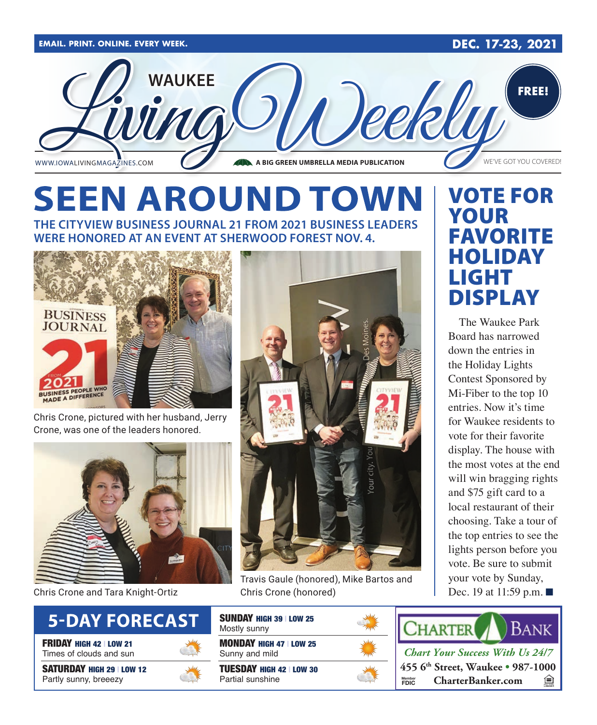

# **SEEN AROUND TOWN**

**THE CITYVIEW BUSINESS JOURNAL 21 FROM 2021 BUSINESS LEADERS WERE HONORED AT AN EVENT AT SHERWOOD FOREST NOV. 4.**



Chris Crone, pictured with her husband, Jerry Crone, was one of the leaders honored.



Chris Crone and Tara Knight-Ortiz



FRIDAY HIGH 42 | LOW 21 Times of clouds and sun

SATURDAY HIGH 29 | LOW 12 Partly sunny, breeezy





Travis Gaule (honored), Mike Bartos and Chris Crone (honored)



TUESDAY HIGH 42 | LOW 30 Partial sunshine



# VOTE FOR YOUR FAVORITE HOLIDAY LIGHT DISPLAY

The Waukee Park Board has narrowed down the entries in the Holiday Lights Contest Sponsored by Mi-Fiber to the top 10 entries. Now it's time for Waukee residents to vote for their favorite display. The house with the most votes at the end will win bragging rights and \$75 gift card to a local restaurant of their choosing. Take a tour of the top entries to see the lights person before you vote. Be sure to submit your vote by Sunday, Dec. 19 at 11:59 p.m.  $\blacksquare$ 



*Chart Your Success With Us 24/7* **455 6th Street, Waukee • 987-1000 Member**<br>FDIC  $$ 鱼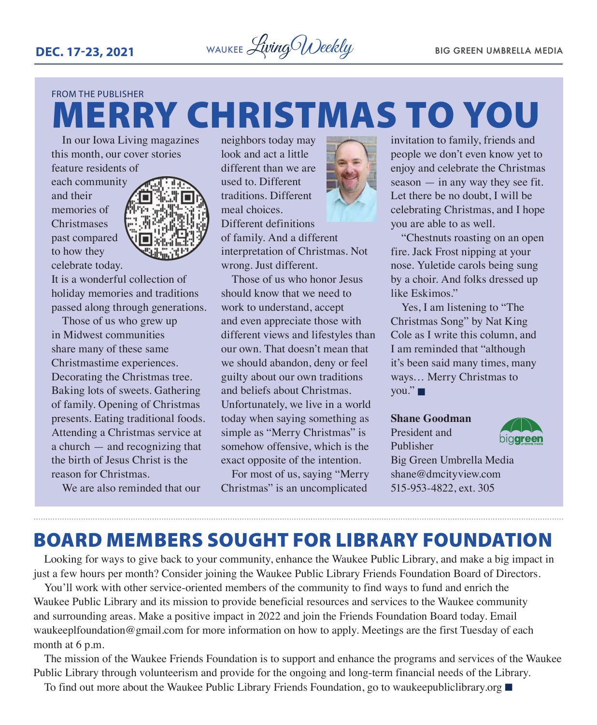

# FROM THE PUBLISHER MERRY CHRISTMAS TO YOU

In our Iowa Living magazines this month, our cover stories feature residents of

each community and their memories of **Christmases** past compared to how they celebrate today.



It is a wonderful collection of holiday memories and traditions passed along through generations.

Those of us who grew up in Midwest communities share many of these same Christmastime experiences. Decorating the Christmas tree. Baking lots of sweets. Gathering of family. Opening of Christmas presents. Eating traditional foods. Attending a Christmas service at a church — and recognizing that the birth of Jesus Christ is the reason for Christmas.

We are also reminded that our

neighbors today may look and act a little different than we are used to. Different traditions. Different meal choices. Different definitions of family. And a different interpretation of Christmas. Not wrong. Just different.

Those of us who honor Jesus should know that we need to work to understand, accept and even appreciate those with different views and lifestyles than our own. That doesn't mean that we should abandon, deny or feel guilty about our own traditions and beliefs about Christmas. Unfortunately, we live in a world today when saying something as simple as "Merry Christmas" is somehow offensive, which is the exact opposite of the intention.

For most of us, saying "Merry Christmas" is an uncomplicated



invitation to family, friends and people we don't even know yet to enjoy and celebrate the Christmas season — in any way they see fit. Let there be no doubt, I will be celebrating Christmas, and I hope you are able to as well.

"Chestnuts roasting on an open fire. Jack Frost nipping at your nose. Yuletide carols being sung by a choir. And folks dressed up like Eskimos."

Yes, I am listening to "The Christmas Song" by Nat King Cole as I write this column, and I am reminded that "although it's been said many times, many ways… Merry Christmas to  $vou."$ 

#### **Shane Goodman**

President and Publisher



Big Green Umbrella Media shane@dmcityview.com 515-953-4822, ext. 305

## BOARD MEMBERS SOUGHT FOR LIBRARY FOUNDATION

Looking for ways to give back to your community, enhance the Waukee Public Library, and make a big impact in just a few hours per month? Consider joining the Waukee Public Library Friends Foundation Board of Directors.

You'll work with other service-oriented members of the community to find ways to fund and enrich the Waukee Public Library and its mission to provide beneficial resources and services to the Waukee community and surrounding areas. Make a positive impact in 2022 and join the Friends Foundation Board today. Email waukeeplfoundation@gmail.com for more information on how to apply. Meetings are the first Tuesday of each month at 6 p.m.

The mission of the Waukee Friends Foundation is to support and enhance the programs and services of the Waukee Public Library through volunteerism and provide for the ongoing and long-term financial needs of the Library.

To find out more about the Waukee Public Library Friends Foundation, go to waukeepubliclibrary.org  $\blacksquare$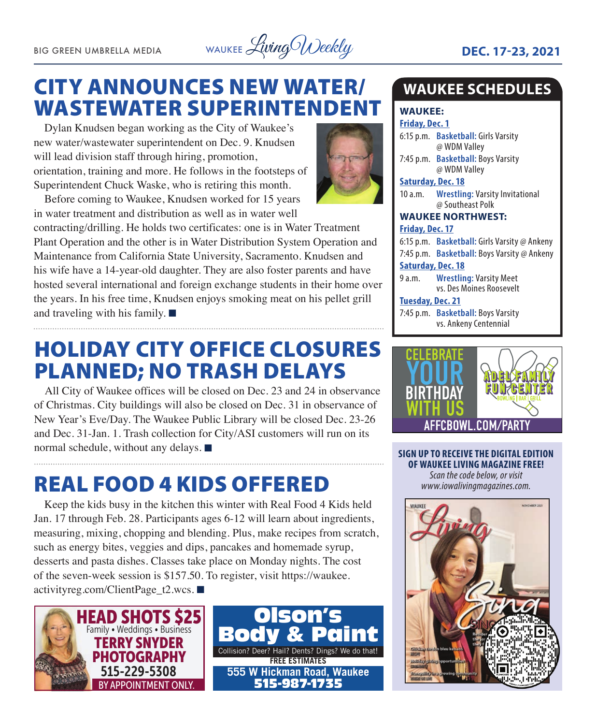BIG GREEN UMBRELLA MEDIA WAUKEE Livi*ng Weekly* **DEC. 17-23, 2021** 

# CITY ANNOUNCES NEW WATER/ WASTEWATER SUPERINTENDENT

Dylan Knudsen began working as the City of Waukee's new water/wastewater superintendent on Dec. 9. Knudsen will lead division staff through hiring, promotion, orientation, training and more. He follows in the footsteps of Superintendent Chuck Waske, who is retiring this month.

Before coming to Waukee, Knudsen worked for 15 years in water treatment and distribution as well as in water well

contracting/drilling. He holds two certificates: one is in Water Treatment Plant Operation and the other is in Water Distribution System Operation and Maintenance from California State University, Sacramento. Knudsen and his wife have a 14-year-old daughter. They are also foster parents and have hosted several international and foreign exchange students in their home over the years. In his free time, Knudsen enjoys smoking meat on his pellet grill and traveling with his family.  $\blacksquare$ 

# HOLIDAY CITY OFFICE CLOSURES PLANNED; NO TRASH DELAYS

All City of Waukee offices will be closed on Dec. 23 and 24 in observance of Christmas. City buildings will also be closed on Dec. 31 in observance of New Year's Eve/Day. The Waukee Public Library will be closed Dec. 23-26 and Dec. 31-Jan. 1. Trash collection for City/ASI customers will run on its normal schedule, without any delays.  $\blacksquare$ 

# REAL FOOD 4 KIDS OFFERED

Keep the kids busy in the kitchen this winter with Real Food 4 Kids held Jan. 17 through Feb. 28. Participants ages 6-12 will learn about ingredients, measuring, mixing, chopping and blending. Plus, make recipes from scratch, such as energy bites, veggies and dips, pancakes and homemade syrup, desserts and pasta dishes. Classes take place on Monday nights. The cost of the seven-week session is \$157.50. To register, visit https://waukee. activityreg.com/ClientPage\_t2.wcs.  $\blacksquare$ 





### **WAUKEE SCHEDULES**

#### **WAUKEE:**

**Friday, Dec. 1**

6:15 p.m. **Basketball:** Girls Varsity @ WDM Valley

7:45 p.m. **Basketball:** Boys Varsity @ WDM Valley

#### **Saturday, Dec. 18**

10 a.m. **Wrestling:** Varsity Invitational @ Southeast Polk

#### **WAUKEE NORTHWEST: Friday, Dec. 17**

6:15 p.m. **Basketball:** Girls Varsity @ Ankeny 7:45 p.m. **Basketball:** Boys Varsity @ Ankeny

#### **Saturday, Dec. 18**

9 a.m. **Wrestling:** Varsity Meet vs. Des Moines Roosevelt

#### **Tuesday, Dec. 21**

7:45 p.m. **Basketball:** Boys Varsity vs. Ankeny Centennial



**SIGN UP TO RECEIVE THE DIGITAL EDITION OF WAUKEE LIVING MAGAZINE FREE!**  *Scan the code below, or visit www.iowalivingmagazines.com.*